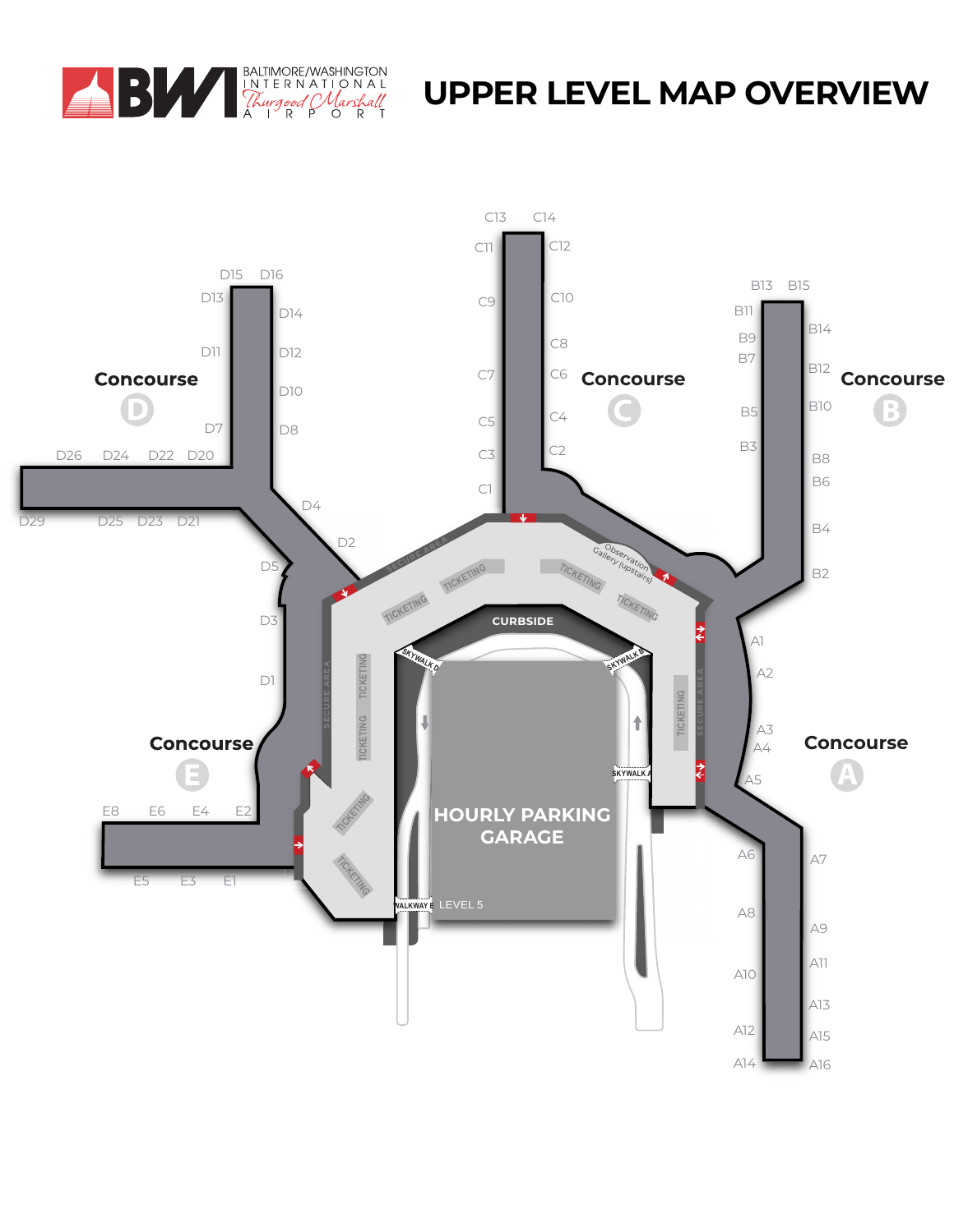

## **UPPER LEVEL MAP OVERVIEW**

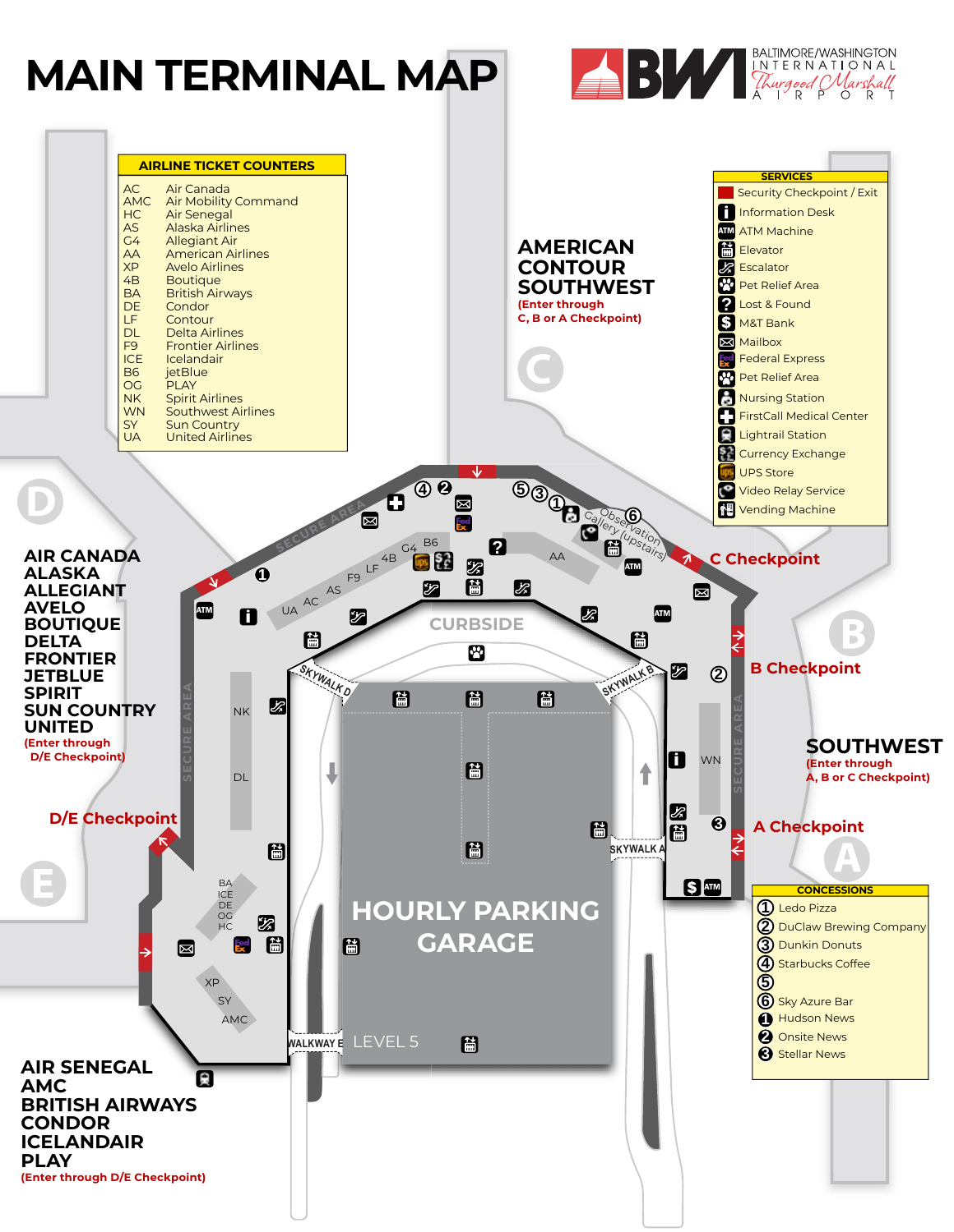## **MAIN TERMINAL MAP**



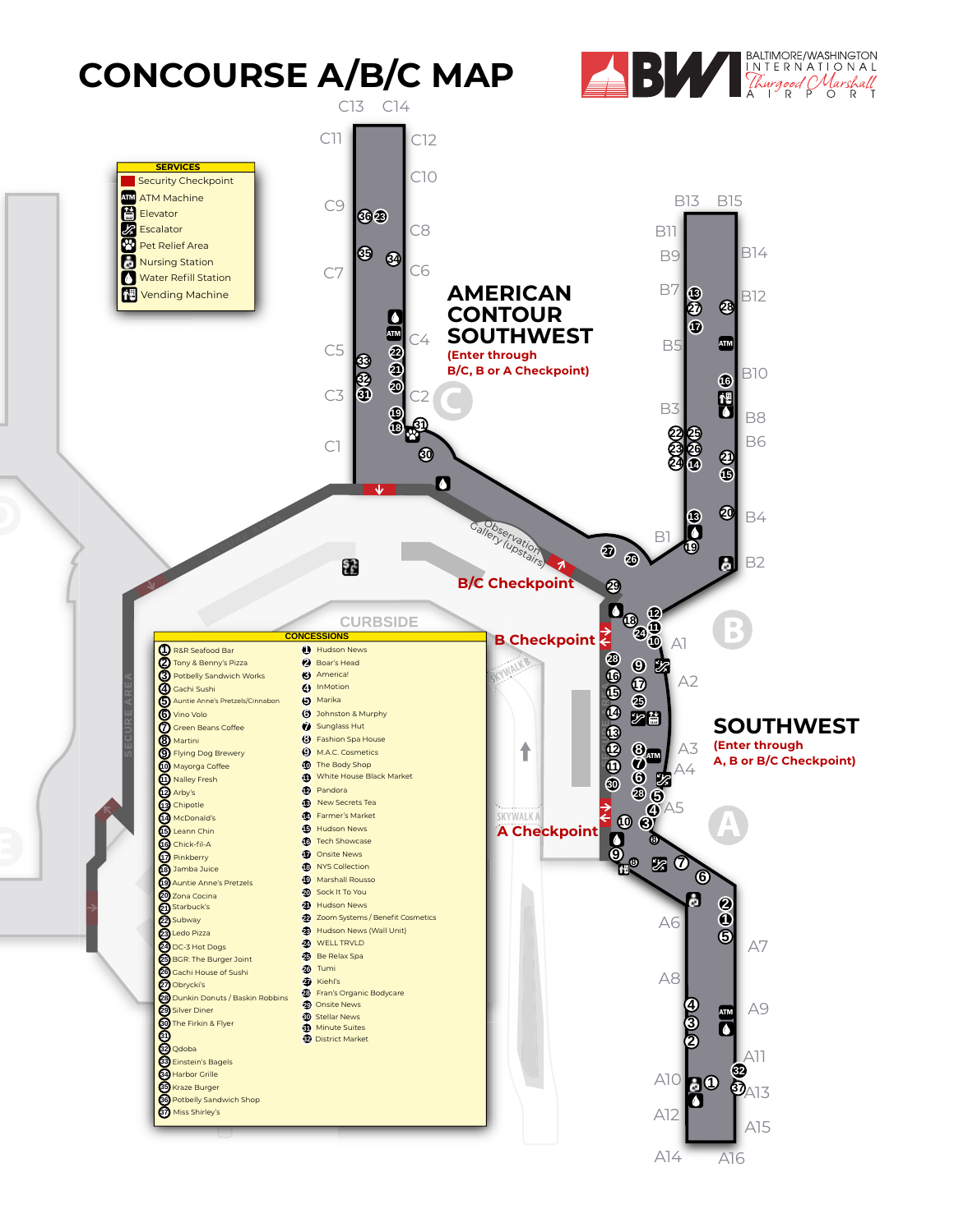## **CONCOURSE A/B/C MAP**